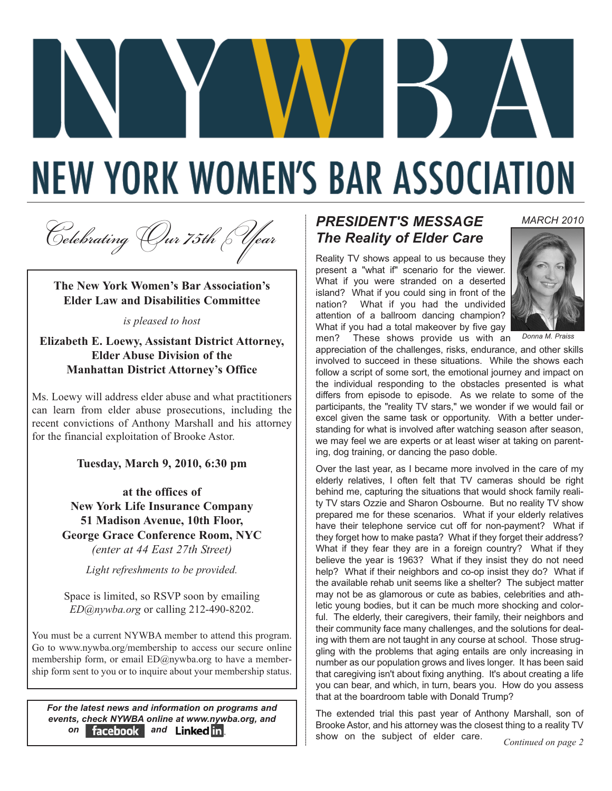# **NEW YORK WOMEN'S BAR ASSOCIATION**

*<sup>C</sup>elebratingOur 75thYear*

**The New York Women's Bar Association's Elder Law and Disabilities Committee** 

*is pleased to host*

**Elizabeth E. Loewy, Assistant District Attorney, Elder Abuse Division of the Manhattan District Attorney's Office**

Ms. Loewy will address elder abuse and what practitioners can learn from elder abuse prosecutions, including the recent convictions of Anthony Marshall and his attorney for the financial exploitation of Brooke Astor.

**Tuesday, March 9, 2010, 6:30 pm**

**at the offices of New York Life Insurance Company 51 Madison Avenue, 10th Floor, George Grace Conference Room, NYC** *(enter at 44 East 27th Street)*

*Light refreshments to be provided.* 

Space is limited, so RSVP soon by emailing *ED@nywba.org* or calling 212-490-8202.

You must be a current NYWBA member to attend this program. Go to www.nywba.org/membership to access our secure online membership form, or email ED@nywba.org to have a membership form sent to you or to inquire about your membership status.

*For the latest news and information on programs and events, check NYWBA online at www.nywba.org, and* **on** facebook and Linked in.

## *PRESIDENT'S MESSAGE The Reality of Elder Care*

Reality TV shows appeal to us because they present a "what if" scenario for the viewer. What if you were stranded on a deserted island? What if you could sing in front of the nation? What if you had the undivided attention of a ballroom dancing champion? What if you had a total makeover by five gay men? These shows provide us with an



*MARCH 2010*

*Donna M. Praiss*

appreciation of the challenges, risks, endurance, and other skills involved to succeed in these situations. While the shows each follow a script of some sort, the emotional journey and impact on the individual responding to the obstacles presented is what differs from episode to episode. As we relate to some of the participants, the "reality TV stars," we wonder if we would fail or excel given the same task or opportunity. With a better understanding for what is involved after watching season after season, we may feel we are experts or at least wiser at taking on parenting, dog training, or dancing the paso doble.

Over the last year, as I became more involved in the care of my elderly relatives, I often felt that TV cameras should be right behind me, capturing the situations that would shock family reality TV stars Ozzie and Sharon Osbourne. But no reality TV show prepared me for these scenarios. What if your elderly relatives have their telephone service cut off for non-payment? What if they forget how to make pasta? What if they forget their address? What if they fear they are in a foreign country? What if they believe the year is 1963? What if they insist they do not need help? What if their neighbors and co-op insist they do? What if the available rehab unit seems like a shelter? The subject matter may not be as glamorous or cute as babies, celebrities and athletic young bodies, but it can be much more shocking and colorful. The elderly, their caregivers, their family, their neighbors and their community face many challenges, and the solutions for dealing with them are not taught in any course at school. Those struggling with the problems that aging entails are only increasing in number as our population grows and lives longer. It has been said that caregiving isn't about fixing anything. It's about creating a life you can bear, and which, in turn, bears you. How do you assess that at the boardroom table with Donald Trump?

The extended trial this past year of Anthony Marshall, son of Brooke Astor, and his attorney was the closest thing to a reality TV show on the subject of elder care. *Continued on page 2*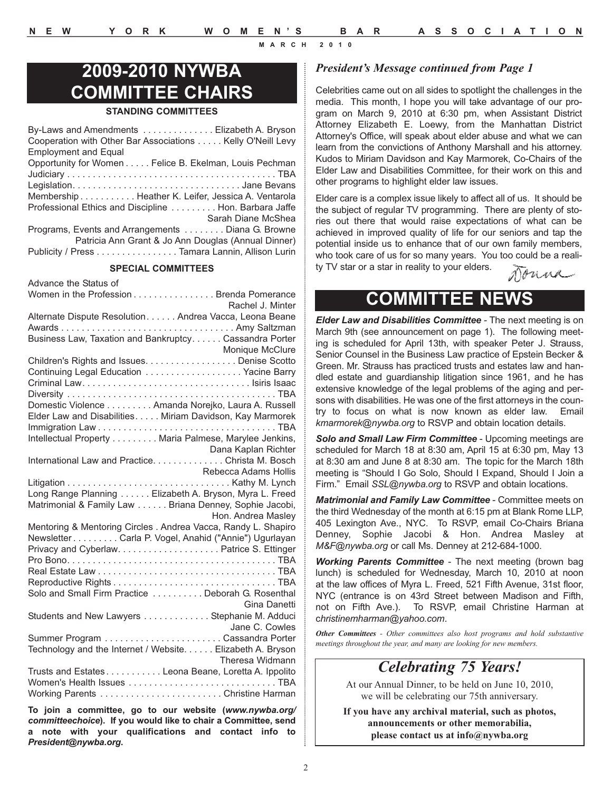# **2009-2010 NYWBA COMMITTEE CHAIRS**

#### **STANDING COMMITTEES**

| By-Laws and Amendments Elizabeth A. Bryson                 |
|------------------------------------------------------------|
| Cooperation with Other Bar Associations Kelly O'Neill Levy |
| <b>Employment and Equal</b>                                |
| Opportunity for Women Felice B. Ekelman, Louis Pechman     |
|                                                            |
|                                                            |
| Membership Heather K. Leifer, Jessica A. Ventarola         |
| Professional Ethics and Discipline  Hon. Barbara Jaffe     |
| Sarah Diane McShea                                         |
| Programs, Events and Arrangements  Diana G. Browne         |
| Patricia Ann Grant & Jo Ann Douglas (Annual Dinner)        |
| Publicity / Press Tamara Lannin, Allison Lurin             |
|                                                            |

#### **SPECIAL COMMITTEES**

Advance the Status of Women in the Profession . . . . . . . . . . . . . . . Brenda Pomerance Rachel J. Minter Alternate Dispute Resolution. . . . . . Andrea Vacca, Leona Beane Awards . . . . . . . . . . . . . . . . . . . . . . . . . . . . . . . . . . Amy Saltzman Business Law, Taxation and Bankruptcy. . . . . . Cassandra Porter Monique McClure Children's Rights and Issues. . . . . . . . . . . . . . . . . . Denise Scotto Continuing Legal Education . . . . . . . . . . . . . . . . . . . Yacine Barry Criminal Law. . . . . . . . . . . . . . . . . . . . . . . . . . . . . . . . . Isiris Isaac Diversity . . . . . . . . . . . . . . . . . . . . . . . . . . . . . . . . . . . . . . . . . TBA Domestic Violence . . . . . . . . . Amanda Norejko, Laura A. Russell Elder Law and Disabilities. . . . . Miriam Davidson, Kay Marmorek Immigration Law . . . . . . . . . . . . . . . . . . . . . . . . . . . . . . . . . . . TBA Intellectual Property . . . . . . . . . Maria Palmese, Marylee Jenkins, Dana Kaplan Richter International Law and Practice. . . . . . . . . . . . . . Christa M. Bosch Rebecca Adams Hollis Litigation . . . . . . . . . . . . . . . . . . . . . . . . . . . . . . . . Kathy M. Lynch Long Range Planning . . . . . . Elizabeth A. Bryson, Myra L. Freed Matrimonial & Family Law . . . . . . Briana Denney, Sophie Jacobi, Hon. Andrea Masley Mentoring & Mentoring Circles . Andrea Vacca, Randy L. Shapiro Newsletter . . . . . . . . . Carla P. Vogel, Anahid ("Annie") Ugurlayan Privacy and Cyberlaw. . . . . . . . . . . . . . . . . . . . Patrice S. Ettinger Pro Bono. . . . . . . . . . . . . . . . . . . . . . . . . . . . . . . . . . . . . . . . . TBA Real Estate Law . . . . . . . . . . . . . . . . . . . . . . . . . . . . . . . . . . . TBA Reproductive Rights . . . . . . . . . . . . . . . . . . . . . . . . . . . . . . . . TBA Solo and Small Firm Practice . . . . . . . . . . Deborah G. Rosenthal Gina Danetti Students and New Lawyers . . . . . . . . . . . . . Stephanie M. Adduci Jane C. Cowles Summer Program . . . . . . . . . . . . . . . . . . . . . . . Cassandra Porter Technology and the Internet / Website. . . . . . Elizabeth A. Bryson Theresa Widmann Trusts and Estates . . . . . . . . . . . Leona Beane, Loretta A. Ippolito Women's Health Issues . . . . . . . . . . . . . . . . . . . . . . . . . . . . . TBA Working Parents . . . . . . . . . . . . . . . . . . . . . . . . Christine Harman

**To join a committee, go to our website (***www.nywba.org/ committeechoice***). If you would like to chair a Committee, send a note with your qualifications and contact info to** *President@nywba.org***.**

#### *President's Message continued from Page 1*

Celebrities came out on all sides to spotlight the challenges in the media. This month, I hope you will take advantage of our program on March 9, 2010 at 6:30 pm, when Assistant District Attorney Elizabeth E. Loewy, from the Manhattan District Attorney's Office, will speak about elder abuse and what we can learn from the convictions of Anthony Marshall and his attorney. Kudos to Miriam Davidson and Kay Marmorek, Co-Chairs of the Elder Law and Disabilities Committee, for their work on this and other programs to highlight elder law issues.

Elder care is a complex issue likely to affect all of us. It should be the subject of regular TV programming. There are plenty of stories out there that would raise expectations of what can be achieved in improved quality of life for our seniors and tap the potential inside us to enhance that of our own family members, who took care of us for so many years. You too could be a reality TV star or a star in reality to your elders. nouva

# **COMMITTEE NEWS**

*Elder Law and Disabilities Committee -* The next meeting is on March 9th (see announcement on page 1). The following meeting is scheduled for April 13th, with speaker Peter J. Strauss, Senior Counsel in the Business Law practice of Epstein Becker & Green. Mr. Strauss has practiced trusts and estates law and handled estate and guardianship litigation since 1961, and he has extensive knowledge of the legal problems of the aging and persons with disabilities. He was one of the first attorneys in the country to focus on what is now known as elder law. Email *kmarmorek@nywba.org* to RSVP and obtain location details.

*Solo and Small Law Firm Committee* - Upcoming meetings are scheduled for March 18 at 8:30 am, April 15 at 6:30 pm, May 13 at 8:30 am and June 8 at 8:30 am. The topic for the March 18th meeting is "Should I Go Solo, Should I Expand, Should I Join a Firm." Email *SSL@nywba.org* to RSVP and obtain locations.

*Matrimonial and Family Law Committee* - Committee meets on the third Wednesday of the month at 6:15 pm at Blank Rome LLP, 405 Lexington Ave., NYC. To RSVP, email Co-Chairs Briana Denney, Sophie Jacobi & Hon. Andrea Masley at *M&F@nywba.org* or call Ms. Denney at 212-684-1000.

*Working Parents Committee* - The next meeting (brown bag lunch) is scheduled for Wednesday, March 10, 2010 at noon at the law offices of Myra L. Freed, 521 Fifth Avenue, 31st floor, NYC (entrance is on 43rd Street between Madison and Fifth, not on Fifth Ave.). To RSVP, email Christine Harman at c*hristinemharman@yahoo.com*.

*Other Committees - Other committees also host programs and hold substantive meetings throughout the year, and many are looking for new members.* 

# *Celebrating 75 Years!*

At our Annual Dinner, to be held on June 10, 2010, we will be celebrating our 75th anniversary.

**If you have any archival material, such as photos, announcements or other memorabilia, please contact us at info@nywba.org**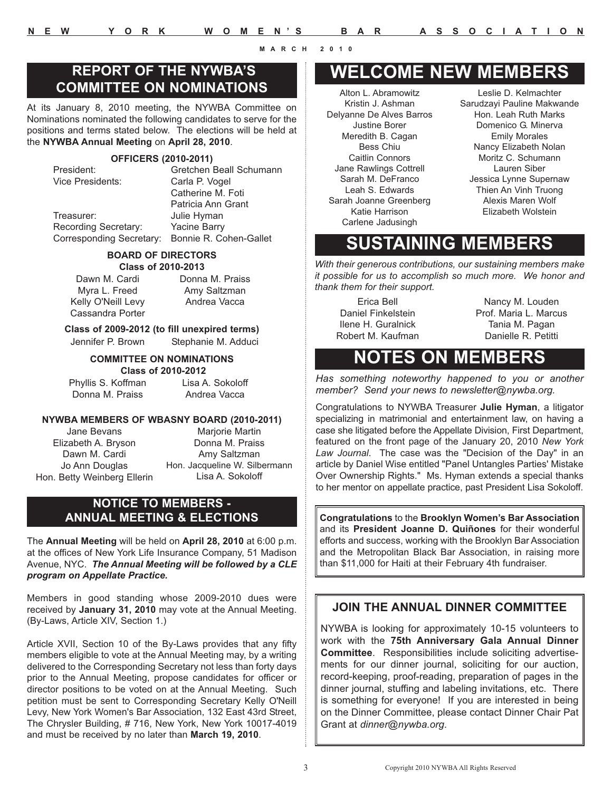## **REPORT OF THE NYWBA'S COMMITTEE ON NOMINATIONS**

At its January 8, 2010 meeting, the NYWBA Committee on Nominations nominated the following candidates to serve for the positions and terms stated below. The elections will be held at the **NYWBA Annual Meeting** on **April 28, 2010**.

#### **OFFICERS (2010-2011)**

President: Gretchen Beall Schumann Vice Presidents: Carla P. Vogel Catherine M. Foti Patricia Ann Grant Treasurer: Julie Hyman Recording Secretary: Yacine Barry Corresponding Secretary: Bonnie R. Cohen-Gallet

#### **BOARD OF DIRECTORS Class of 2010-2013**

Dawn M. Cardi Myra L. Freed Kelly O'Neill Levy Cassandra Porter Donna M. Praiss Amy Saltzman Andrea Vacca

#### **Class of 2009-2012 (to fill unexpired terms)** Jennifer P. Brown Stephanie M. Adduci

#### **COMMITTEE ON NOMINATIONS Class of 2010-2012**

Phyllis S. Koffman Donna M. Praiss

Lisa A. Sokoloff Andrea Vacca

#### **NYWBA MEMBERS OF WBASNY BOARD (2010-2011)**

Jane Bevans Elizabeth A. Bryson Dawn M. Cardi Jo Ann Douglas Hon. Betty Weinberg Ellerin

Marjorie Martin Donna M. Praiss Amy Saltzman Hon. Jacqueline W. Silbermann Lisa A. Sokoloff

### **NOTICE TO MEMBERS - ANNUAL MEETING & ELECTIONS**

The **Annual Meeting** will be held on **April 28, 2010** at 6:00 p.m. at the offices of New York Life Insurance Company, 51 Madison Avenue, NYC. *The Annual Meeting will be followed by a CLE program on Appellate Practice.*

Members in good standing whose 2009-2010 dues were received by **January 31, 2010** may vote at the Annual Meeting. (By-Laws, Article XIV, Section 1.)

Article XVII, Section 10 of the By-Laws provides that any fifty members eligible to vote at the Annual Meeting may, by a writing delivered to the Corresponding Secretary not less than forty days prior to the Annual Meeting, propose candidates for officer or director positions to be voted on at the Annual Meeting. Such petition must be sent to Corresponding Secretary Kelly O'Neill Levy, New York Women's Bar Association, 132 East 43rd Street, The Chrysler Building, # 716, New York, New York 10017-4019 and must be received by no later than **March 19, 2010**.

# **WELCOME NEW MEMBERS**

Alton L. Abramowitz Kristin J. Ashman Delyanne De Alves Barros Justine Borer Meredith B. Cagan Bess Chiu Caitlin Connors Jane Rawlings Cottrell Sarah M. DeFranco Leah S. Edwards Sarah Joanne Greenberg Katie Harrison Carlene Jadusingh

Leslie D. Kelmachter Sarudzayi Pauline Makwande Hon. Leah Ruth Marks Domenico G. Minerva Emily Morales Nancy Elizabeth Nolan Moritz C. Schumann Lauren Siber Jessica Lynne Supernaw Thien An Vinh Truong Alexis Maren Wolf Elizabeth Wolstein

# **SUSTAINING MEMBERS**

*With their generous contributions, our sustaining members make it possible for us to accomplish so much more. We honor and thank them for their support.*

Erica Bell Daniel Finkelstein Ilene H. Guralnick Robert M. Kaufman

Nancy M. Louden Prof. Maria L. Marcus Tania M. Pagan Danielle R. Petitti

# **NOTES ON MEMBERS**

*Has something noteworthy happened to you or another member? Send your news to newsletter@nywba.org.*

Congratulations to NYWBA Treasurer **Julie Hyman**, a litigator specializing in matrimonial and entertainment law, on having a case she litigated before the Appellate Division, First Department, featured on the front page of the January 20, 2010 *New York Law Journal*. The case was the "Decision of the Day" in an article by Daniel Wise entitled "Panel Untangles Parties' Mistake Over Ownership Rights." Ms. Hyman extends a special thanks to her mentor on appellate practice, past President Lisa Sokoloff.

**Congratulations** to the **Brooklyn Women's Bar Association** and its **President Joanne D. Quiñones** for their wonderful efforts and success, working with the Brooklyn Bar Association and the Metropolitan Black Bar Association, in raising more than \$11,000 for Haiti at their February 4th fundraiser.

## **JOIN THE ANNUAL DINNER COMMITTEE**

NYWBA is looking for approximately 10-15 volunteers to work with the **75th Anniversary Gala Annual Dinner Committee**. Responsibilities include soliciting advertisements for our dinner journal, soliciting for our auction, record-keeping, proof-reading, preparation of pages in the dinner journal, stuffing and labeling invitations, etc. There is something for everyone! If you are interested in being on the Dinner Committee, please contact Dinner Chair Pat Grant at *dinner@nywba.org*.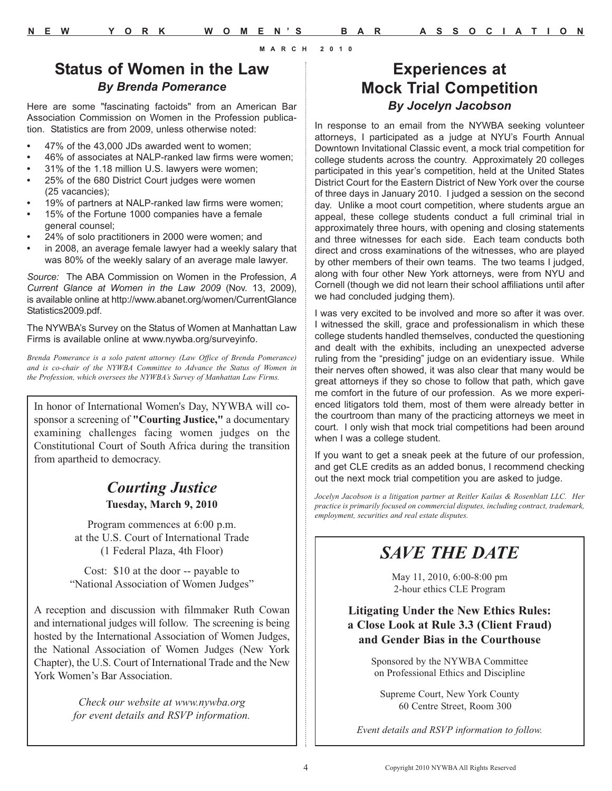# **Status of Women in the Law** *By Brenda Pomerance*

Here are some "fascinating factoids" from an American Bar Association Commission on Women in the Profession publication. Statistics are from 2009, unless otherwise noted:

- **•** 47% of the 43,000 JDs awarded went to women;
- **•** 46% of associates at NALP-ranked law firms were women;
- **•** 31% of the 1.18 million U.S. lawyers were women;
- **•** 25% of the 680 District Court judges were women (25 vacancies);
- **•** 19% of partners at NALP-ranked law firms were women;
- **•** 15% of the Fortune 1000 companies have a female general counsel;
- **•** 24% of solo practitioners in 2000 were women; and
- **•** in 2008, an average female lawyer had a weekly salary that was 80% of the weekly salary of an average male lawyer.

*Source:* The ABA Commission on Women in the Profession, *A Current Glance at Women in the Law 2009* (Nov. 13, 2009), is available online at http://www.abanet.org/women/CurrentGlance Statistics2009.pdf.

The NYWBA's Survey on the Status of Women at Manhattan Law Firms is available online at www.nywba.org/surveyinfo.

*Brenda Pomerance is a solo patent attorney (Law Office of Brenda Pomerance) and is co-chair of the NYWBA Committee to Advance the Status of Women in the Profession, which oversees the NYWBA's Survey of Manhattan Law Firms.*

In honor of International Women's Day, NYWBA will cosponsor a screening of **"Courting Justice,"** a documentary examining challenges facing women judges on the Constitutional Court of South Africa during the transition from apartheid to democracy.

## *Courting Justice* **Tuesday, March 9, 2010**

Program commences at 6:00 p.m. at the U.S. Court of International Trade (1 Federal Plaza, 4th Floor)

Cost: \$10 at the door -- payable to "National Association of Women Judges"

A reception and discussion with filmmaker Ruth Cowan and international judges will follow. The screening is being hosted by the International Association of Women Judges, the National Association of Women Judges (New York Chapter), the U.S. Court of International Trade and the New York Women's Bar Association.

> *Check our website at www.nywba.org for event details and RSVP information.*

# **Experiences at Mock Trial Competition** *By Jocelyn Jacobson*

In response to an email from the NYWBA seeking volunteer attorneys, I participated as a judge at NYU's Fourth Annual Downtown Invitational Classic event, a mock trial competition for college students across the country. Approximately 20 colleges participated in this year's competition, held at the United States District Court for the Eastern District of New York over the course of three days in January 2010. I judged a session on the second day. Unlike a moot court competition, where students argue an appeal, these college students conduct a full criminal trial in approximately three hours, with opening and closing statements and three witnesses for each side. Each team conducts both direct and cross examinations of the witnesses, who are played by other members of their own teams. The two teams I judged, along with four other New York attorneys, were from NYU and Cornell (though we did not learn their school affiliations until after we had concluded judging them).

I was very excited to be involved and more so after it was over. I witnessed the skill, grace and professionalism in which these college students handled themselves, conducted the questioning and dealt with the exhibits, including an unexpected adverse ruling from the "presiding" judge on an evidentiary issue. While their nerves often showed, it was also clear that many would be great attorneys if they so chose to follow that path, which gave me comfort in the future of our profession. As we more experienced litigators told them, most of them were already better in the courtroom than many of the practicing attorneys we meet in court. I only wish that mock trial competitions had been around when I was a college student.

If you want to get a sneak peek at the future of our profession, and get CLE credits as an added bonus, I recommend checking out the next mock trial competition you are asked to judge.

*Jocelyn Jacobson is a litigation partner at Reitler Kailas & Rosenblatt LLC. Her practice is primarily focused on commercial disputes, including contract, trademark, employment, securities and real estate disputes.*

# *SAVE THE DATE*

May 11, 2010, 6:00-8:00 pm 2-hour ethics CLE Program

## **Litigating Under the New Ethics Rules: a Close Look at Rule 3.3 (Client Fraud) and Gender Bias in the Courthouse**

Sponsored by the NYWBA Committee on Professional Ethics and Discipline

Supreme Court, New York County 60 Centre Street, Room 300

*Event details and RSVP information to follow.*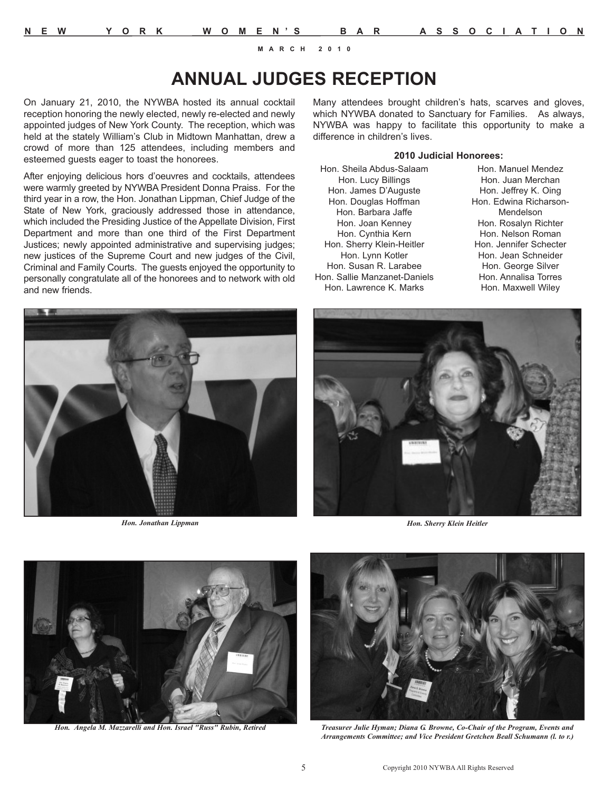# **ANNUAL JUDGES RECEPTION**

On January 21, 2010, the NYWBA hosted its annual cocktail reception honoring the newly elected, newly re-elected and newly appointed judges of New York County. The reception, which was held at the stately William's Club in Midtown Manhattan, drew a crowd of more than 125 attendees, including members and esteemed guests eager to toast the honorees.

After enjoying delicious hors d'oeuvres and cocktails, attendees were warmly greeted by NYWBA President Donna Praiss. For the third year in a row, the Hon. Jonathan Lippman, Chief Judge of the State of New York, graciously addressed those in attendance, which included the Presiding Justice of the Appellate Division, First Department and more than one third of the First Department Justices; newly appointed administrative and supervising judges; new justices of the Supreme Court and new judges of the Civil, Criminal and Family Courts. The guests enjoyed the opportunity to personally congratulate all of the honorees and to network with old and new friends.



*Hon. Jonathan Lippman*

Many attendees brought children's hats, scarves and gloves, which NYWBA donated to Sanctuary for Families. As always, NYWBA was happy to facilitate this opportunity to make a difference in children's lives.

#### **2010 Judicial Honorees:**

Hon. Sheila Abdus-Salaam Hon. Lucy Billings Hon. James D'Auguste Hon. Douglas Hoffman Hon. Barbara Jaffe Hon. Joan Kenney Hon. Cynthia Kern Hon. Sherry Klein-Heitler Hon. Lynn Kotler Hon. Susan R. Larabee Hon. Sallie Manzanet-Daniels Hon. Lawrence K. Marks

Hon. Manuel Mendez Hon. Juan Merchan Hon. Jeffrey K. Oing Hon. Edwina Richarson-Mendelson Hon. Rosalyn Richter Hon. Nelson Roman Hon. Jennifer Schecter Hon. Jean Schneider Hon. George Silver Hon. Annalisa Torres Hon. Maxwell Wiley



*Hon. Sherry Klein Heitler*



*Hon. Angela M. Mazzarelli and Hon. Israel "Russ" Rubin, Retired* 



*Treasurer Julie Hyman; Diana G. Browne, Co-Chair of the Program, Events and Arrangements Committee; and Vice President Gretchen Beall Schumann (l. to r.)*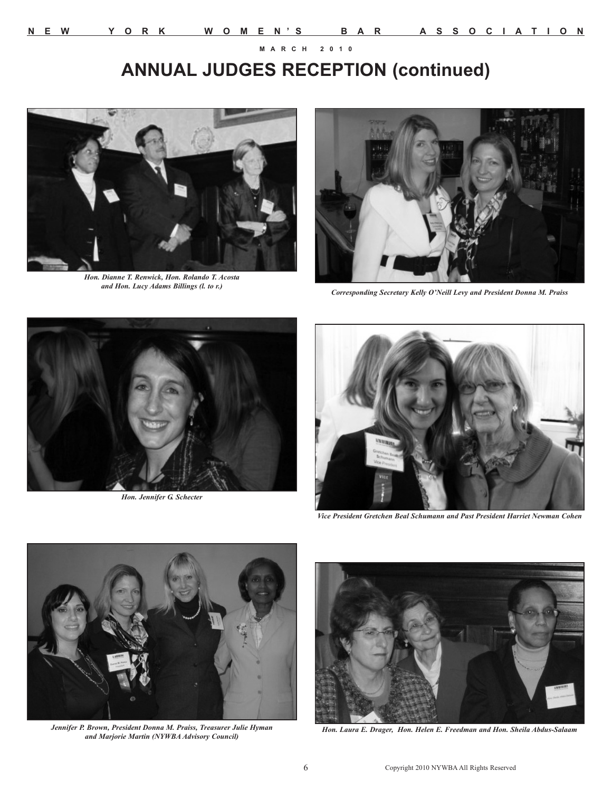# **ANNUAL JUDGES RECEPTION (continued)**



*Hon. Dianne T. Renwick, Hon. Rolando T. Acosta*



*Corresponding Secretary Kelly O'Neill Levy and President Donna M. Praiss* 



*Hon. Jennifer G. Schecter*



*Vice President Gretchen Beal Schumann and Past President Harriet Newman Cohen*



*Jennifer P. Brown, President Donna M. Praiss, Treasurer Julie Hyman and Marjorie Martin (NYWBA Advisory Council)*



*Hon. Laura E. Drager, Hon. Helen E. Freedman and Hon. Sheila Abdus-Salaam*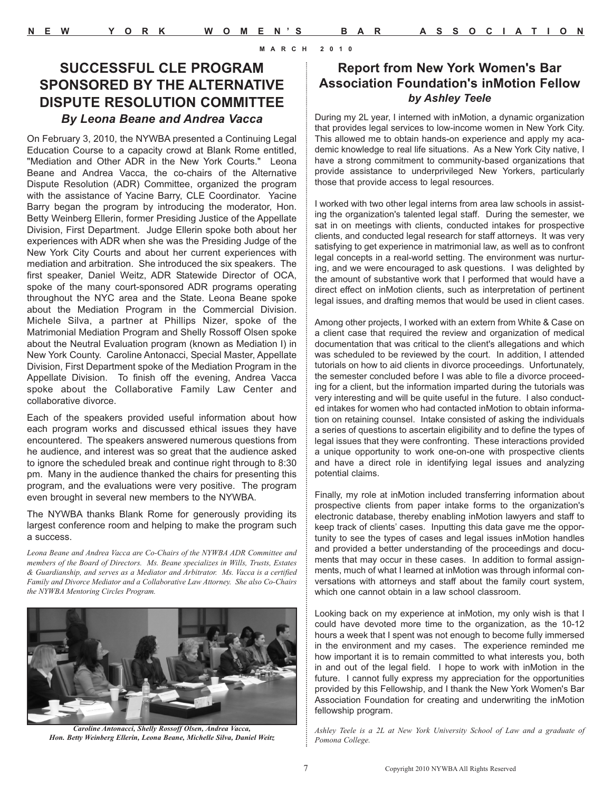## **SUCCESSFUL CLE PROGRAM SPONSORED BY THE ALTERNATIVE DISPUTE RESOLUTION COMMITTEE** *By Leona Beane and Andrea Vacca*

On February 3, 2010, the NYWBA presented a Continuing Legal Education Course to a capacity crowd at Blank Rome entitled, "Mediation and Other ADR in the New York Courts." Leona Beane and Andrea Vacca, the co-chairs of the Alternative Dispute Resolution (ADR) Committee, organized the program with the assistance of Yacine Barry, CLE Coordinator. Yacine Barry began the program by introducing the moderator, Hon. Betty Weinberg Ellerin, former Presiding Justice of the Appellate Division, First Department. Judge Ellerin spoke both about her experiences with ADR when she was the Presiding Judge of the New York City Courts and about her current experiences with mediation and arbitration. She introduced the six speakers. The first speaker, Daniel Weitz, ADR Statewide Director of OCA, spoke of the many court-sponsored ADR programs operating throughout the NYC area and the State. Leona Beane spoke about the Mediation Program in the Commercial Division. Michele Silva, a partner at Phillips Nizer, spoke of the Matrimonial Mediation Program and Shelly Rossoff Olsen spoke about the Neutral Evaluation program (known as Mediation I) in New York County. Caroline Antonacci, Special Master, Appellate Division, First Department spoke of the Mediation Program in the Appellate Division. To finish off the evening, Andrea Vacca spoke about the Collaborative Family Law Center and collaborative divorce.

Each of the speakers provided useful information about how each program works and discussed ethical issues they have encountered. The speakers answered numerous questions from he audience, and interest was so great that the audience asked to ignore the scheduled break and continue right through to 8:30 pm. Many in the audience thanked the chairs for presenting this program, and the evaluations were very positive. The program even brought in several new members to the NYWBA.

The NYWBA thanks Blank Rome for generously providing its largest conference room and helping to make the program such a success.

*Leona Beane and Andrea Vacca are Co-Chairs of the NYWBA ADR Committee and members of the Board of Directors. Ms. Beane specializes in Wills, Trusts, Estates & Guardianship, and serves as a Mediator and Arbitrator. Ms. Vacca is a certified Family and Divorce Mediator and a Collaborative Law Attorney. She also Co-Chairs the NYWBA Mentoring Circles Program.* 



*Caroline Antonacci, Shelly Rossoff Olsen, Andrea Vacca, Hon. Betty Weinberg Ellerin, Leona Beane, Michelle Silva, Daniel Weitz*

## **Report from New York Women's Bar Association Foundation's inMotion Fellow** *by Ashley Teele*

During my 2L year, I interned with inMotion, a dynamic organization that provides legal services to low-income women in New York City. This allowed me to obtain hands-on experience and apply my academic knowledge to real life situations. As a New York City native, I have a strong commitment to community-based organizations that provide assistance to underprivileged New Yorkers, particularly those that provide access to legal resources.

I worked with two other legal interns from area law schools in assisting the organization's talented legal staff. During the semester, we sat in on meetings with clients, conducted intakes for prospective clients, and conducted legal research for staff attorneys. It was very satisfying to get experience in matrimonial law, as well as to confront legal concepts in a real-world setting. The environment was nurturing, and we were encouraged to ask questions. I was delighted by the amount of substantive work that I performed that would have a direct effect on inMotion clients, such as interpretation of pertinent legal issues, and drafting memos that would be used in client cases.

Among other projects, I worked with an extern from White & Case on a client case that required the review and organization of medical documentation that was critical to the client's allegations and which was scheduled to be reviewed by the court. In addition, I attended tutorials on how to aid clients in divorce proceedings. Unfortunately, the semester concluded before I was able to file a divorce proceeding for a client, but the information imparted during the tutorials was very interesting and will be quite useful in the future. I also conducted intakes for women who had contacted inMotion to obtain information on retaining counsel. Intake consisted of asking the individuals a series of questions to ascertain eligibility and to define the types of legal issues that they were confronting. These interactions provided a unique opportunity to work one-on-one with prospective clients and have a direct role in identifying legal issues and analyzing potential claims.

Finally, my role at inMotion included transferring information about prospective clients from paper intake forms to the organization's electronic database, thereby enabling inMotion lawyers and staff to keep track of clients' cases. Inputting this data gave me the opportunity to see the types of cases and legal issues inMotion handles and provided a better understanding of the proceedings and documents that may occur in these cases. In addition to formal assignments, much of what I learned at inMotion was through informal conversations with attorneys and staff about the family court system, which one cannot obtain in a law school classroom.

Looking back on my experience at inMotion, my only wish is that I could have devoted more time to the organization, as the 10-12 hours a week that I spent was not enough to become fully immersed in the environment and my cases. The experience reminded me how important it is to remain committed to what interests you, both in and out of the legal field. I hope to work with inMotion in the future. I cannot fully express my appreciation for the opportunities provided by this Fellowship, and I thank the New York Women's Bar Association Foundation for creating and underwriting the inMotion fellowship program.

*Ashley Teele is a 2L at New York University School of Law and a graduate of Pomona College.*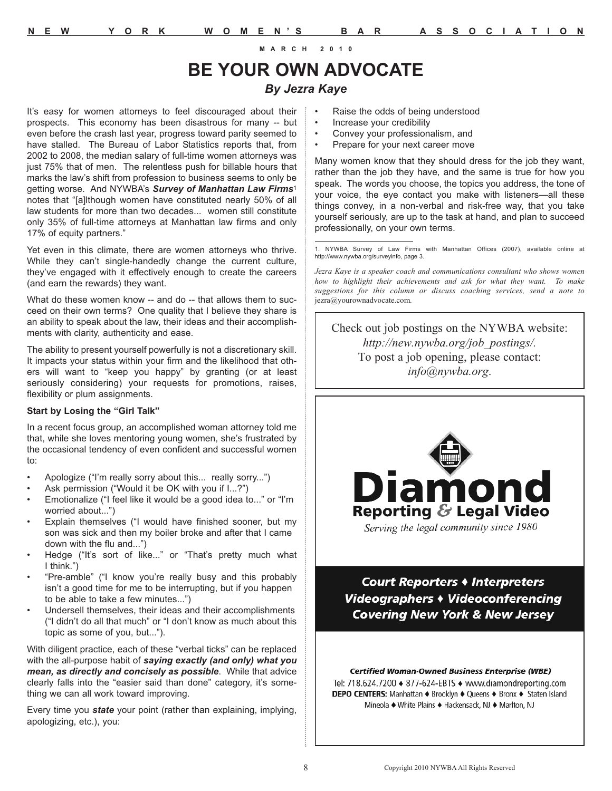# **BE YOUR OWN ADVOCATE**  *By Jezra Kaye*

It's easy for women attorneys to feel discouraged about their prospects. This economy has been disastrous for many -- but even before the crash last year, progress toward parity seemed to have stalled. The Bureau of Labor Statistics reports that, from 2002 to 2008, the median salary of full-time women attorneys was just 75% that of men. The relentless push for billable hours that marks the law's shift from profession to business seems to only be getting worse. And NYWBA's *Survey of Manhattan Law Firms*<sup>1</sup> notes that "[a]lthough women have constituted nearly 50% of all law students for more than two decades... women still constitute only 35% of full-time attorneys at Manhattan law firms and only 17% of equity partners."

Yet even in this climate, there are women attorneys who thrive. While they can't single-handedly change the current culture, they've engaged with it effectively enough to create the careers (and earn the rewards) they want.

What do these women know -- and do -- that allows them to succeed on their own terms? One quality that I believe they share is an ability to speak about the law, their ideas and their accomplishments with clarity, authenticity and ease.

The ability to present yourself powerfully is not a discretionary skill. It impacts your status within your firm and the likelihood that others will want to "keep you happy" by granting (or at least seriously considering) your requests for promotions, raises, flexibility or plum assignments.

#### **Start by Losing the "Girl Talk"**

In a recent focus group, an accomplished woman attorney told me that, while she loves mentoring young women, she's frustrated by the occasional tendency of even confident and successful women to:

- Apologize ("I'm really sorry about this... really sorry...")
- Ask permission ("Would it be OK with you if I...?")
- Emotionalize ("I feel like it would be a good idea to..." or "I'm worried about...")
- Explain themselves ("I would have finished sooner, but my son was sick and then my boiler broke and after that I came down with the flu and...")
- Hedge ("It's sort of like..." or "That's pretty much what I think.")
- "Pre-amble" ("I know you're really busy and this probably isn't a good time for me to be interrupting, but if you happen to be able to take a few minutes...")
- Undersell themselves, their ideas and their accomplishments ("I didn't do all that much" or "I don't know as much about this topic as some of you, but...").

With diligent practice, each of these "verbal ticks" can be replaced with the all-purpose habit of *saying exactly (and only) what you mean, as directly and concisely as possible*. While that advice clearly falls into the "easier said than done" category, it's something we can all work toward improving.

Every time you *state* your point (rather than explaining, implying, apologizing, etc.), you:

- Raise the odds of being understood
- Increase your credibility
- Convey your professionalism, and
- Prepare for your next career move

Many women know that they should dress for the job they want, rather than the job they have, and the same is true for how you speak. The words you choose, the topics you address, the tone of your voice, the eye contact you make with listeners—all these things convey, in a non-verbal and risk-free way, that you take yourself seriously, are up to the task at hand, and plan to succeed professionally, on your own terms.

1. NYWBA Survey of Law Firms with Manhattan Offices (2007), available online at http://www.nywba.org/surveyinfo, page 3.

*Jezra Kaye is a speaker coach and communications consultant who shows women how to highlight their achievements and ask for what they want. To make suggestions for this column or discuss coaching services, send a note to* jezra@yourownadvocate.com*.*

Check out job postings on the NYWBA website: *http://new.nywba.org/job\_postings/.* To post a job opening, please contact: *info@nywba.org*.



Court Reporters + Interpreters Videographers • Videoconferencing **Covering New York & New Jersey** 

#### **Certified Woman-Owned Business Enterprise (WBE)** Tel: 718.624.7200 ♦ 877-624-EBTS ♦ www.diamondreporting.com **DEPO CENTERS:** Manhattan ♦ Brooklyn ♦ Queens ♦ Bronx ♦ Staten Island Mineola ♦ White Plains ♦ Hackensack, NJ ♦ Marlton, NJ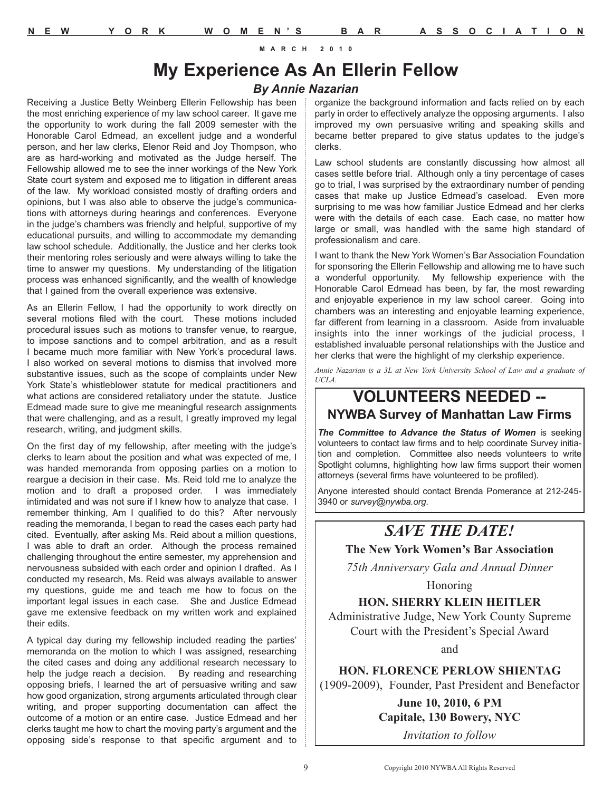# **My Experience As An Ellerin Fellow**

#### *By Annie Nazarian*

Receiving a Justice Betty Weinberg Ellerin Fellowship has been the most enriching experience of my law school career. It gave me the opportunity to work during the fall 2009 semester with the Honorable Carol Edmead, an excellent judge and a wonderful person, and her law clerks, Elenor Reid and Joy Thompson, who are as hard-working and motivated as the Judge herself. The Fellowship allowed me to see the inner workings of the New York State court system and exposed me to litigation in different areas of the law. My workload consisted mostly of drafting orders and opinions, but I was also able to observe the judge's communications with attorneys during hearings and conferences. Everyone in the judge's chambers was friendly and helpful, supportive of my educational pursuits, and willing to accommodate my demanding law school schedule. Additionally, the Justice and her clerks took their mentoring roles seriously and were always willing to take the time to answer my questions. My understanding of the litigation process was enhanced significantly, and the wealth of knowledge that I gained from the overall experience was extensive.

As an Ellerin Fellow, I had the opportunity to work directly on several motions filed with the court. These motions included procedural issues such as motions to transfer venue, to reargue, to impose sanctions and to compel arbitration, and as a result I became much more familiar with New York's procedural laws. I also worked on several motions to dismiss that involved more substantive issues, such as the scope of complaints under New York State's whistleblower statute for medical practitioners and what actions are considered retaliatory under the statute. Justice Edmead made sure to give me meaningful research assignments that were challenging, and as a result, I greatly improved my legal research, writing, and judgment skills.

On the first day of my fellowship, after meeting with the judge's clerks to learn about the position and what was expected of me, I was handed memoranda from opposing parties on a motion to reargue a decision in their case. Ms. Reid told me to analyze the motion and to draft a proposed order. I was immediately intimidated and was not sure if I knew how to analyze that case. I remember thinking, Am I qualified to do this? After nervously reading the memoranda, I began to read the cases each party had cited. Eventually, after asking Ms. Reid about a million questions, I was able to draft an order. Although the process remained challenging throughout the entire semester, my apprehension and nervousness subsided with each order and opinion I drafted. As I conducted my research, Ms. Reid was always available to answer my questions, guide me and teach me how to focus on the important legal issues in each case. She and Justice Edmead gave me extensive feedback on my written work and explained their edits.

A typical day during my fellowship included reading the parties' memoranda on the motion to which I was assigned, researching the cited cases and doing any additional research necessary to help the judge reach a decision. By reading and researching opposing briefs, I learned the art of persuasive writing and saw how good organization, strong arguments articulated through clear writing, and proper supporting documentation can affect the outcome of a motion or an entire case. Justice Edmead and her clerks taught me how to chart the moving party's argument and the opposing side's response to that specific argument and to organize the background information and facts relied on by each party in order to effectively analyze the opposing arguments. I also improved my own persuasive writing and speaking skills and became better prepared to give status updates to the judge's clerks.

Law school students are constantly discussing how almost all cases settle before trial. Although only a tiny percentage of cases go to trial, I was surprised by the extraordinary number of pending cases that make up Justice Edmead's caseload. Even more surprising to me was how familiar Justice Edmead and her clerks were with the details of each case. Each case, no matter how large or small, was handled with the same high standard of professionalism and care.

I want to thank the New York Women's Bar Association Foundation for sponsoring the Ellerin Fellowship and allowing me to have such a wonderful opportunity. My fellowship experience with the Honorable Carol Edmead has been, by far, the most rewarding and enjoyable experience in my law school career. Going into chambers was an interesting and enjoyable learning experience, far different from learning in a classroom. Aside from invaluable insights into the inner workings of the judicial process, I established invaluable personal relationships with the Justice and her clerks that were the highlight of my clerkship experience.

*Annie Nazarian is a 3L at New York University School of Law and a graduate of UCLA.*

## **VOLUNTEERS NEEDED -- NYWBA Survey of Manhattan Law Firms**

*The Committee to Advance the Status of Women* is seeking volunteers to contact law firms and to help coordinate Survey initiation and completion. Committee also needs volunteers to write Spotlight columns, highlighting how law firms support their women attorneys (several firms have volunteered to be profiled).

Anyone interested should contact Brenda Pomerance at 212-245- 3940 or *survey@nywba.org*.

# *SAVE THE DATE!*

#### **The New York Women's Bar Association**

*75th Anniversary Gala and Annual Dinner*

Honoring

## **HON. SHERRY KLEIN HEITLER**

Administrative Judge, New York County Supreme Court with the President's Special Award

and

**HON. FLORENCE PERLOW SHIENTAG** (1909-2009), Founder, Past President and Benefactor

> **June 10, 2010, 6 PM Capitale, 130 Bowery, NYC**

> > *Invitation to follow*